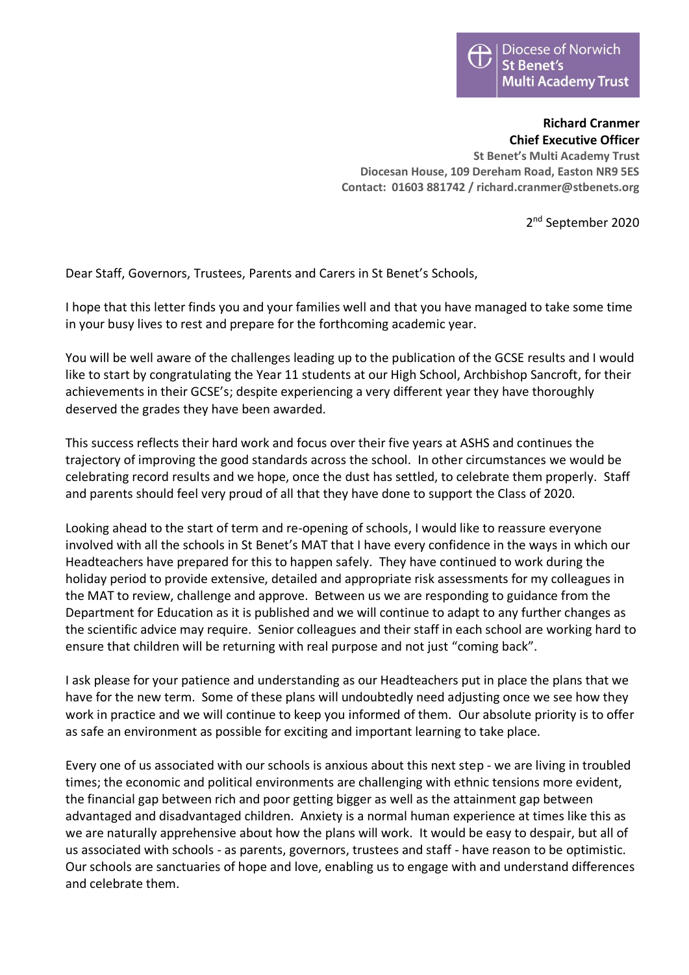**Richard Cranmer Chief Executive Officer St Benet's Multi Academy Trust Diocesan House, 109 Dereham Road, Easton NR9 5ES Contact: 01603 881742 / richard.cranmer@stbenets.org**

2<sup>nd</sup> September 2020

Dear Staff, Governors, Trustees, Parents and Carers in St Benet's Schools,

I hope that this letter finds you and your families well and that you have managed to take some time in your busy lives to rest and prepare for the forthcoming academic year.

You will be well aware of the challenges leading up to the publication of the GCSE results and I would like to start by congratulating the Year 11 students at our High School, Archbishop Sancroft, for their achievements in their GCSE's; despite experiencing a very different year they have thoroughly deserved the grades they have been awarded.

This success reflects their hard work and focus over their five years at ASHS and continues the trajectory of improving the good standards across the school. In other circumstances we would be celebrating record results and we hope, once the dust has settled, to celebrate them properly. Staff and parents should feel very proud of all that they have done to support the Class of 2020.

Looking ahead to the start of term and re-opening of schools, I would like to reassure everyone involved with all the schools in St Benet's MAT that I have every confidence in the ways in which our Headteachers have prepared for this to happen safely. They have continued to work during the holiday period to provide extensive, detailed and appropriate risk assessments for my colleagues in the MAT to review, challenge and approve. Between us we are responding to guidance from the Department for Education as it is published and we will continue to adapt to any further changes as the scientific advice may require. Senior colleagues and their staff in each school are working hard to ensure that children will be returning with real purpose and not just "coming back".

I ask please for your patience and understanding as our Headteachers put in place the plans that we have for the new term. Some of these plans will undoubtedly need adjusting once we see how they work in practice and we will continue to keep you informed of them. Our absolute priority is to offer as safe an environment as possible for exciting and important learning to take place.

Every one of us associated with our schools is anxious about this next step - we are living in troubled times; the economic and political environments are challenging with ethnic tensions more evident, the financial gap between rich and poor getting bigger as well as the attainment gap between advantaged and disadvantaged children. Anxiety is a normal human experience at times like this as we are naturally apprehensive about how the plans will work. It would be easy to despair, but all of us associated with schools - as parents, governors, trustees and staff - have reason to be optimistic. Our schools are sanctuaries of hope and love, enabling us to engage with and understand differences and celebrate them.